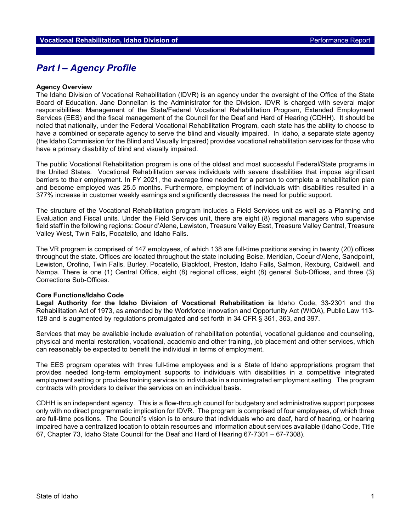# *Part I – Agency Profile*

#### **Agency Overview**

The Idaho Division of Vocational Rehabilitation (IDVR) is an agency under the oversight of the Office of the State Board of Education. Jane Donnellan is the Administrator for the Division. IDVR is charged with several major responsibilities: Management of the State/Federal Vocational Rehabilitation Program, Extended Employment Services (EES) and the fiscal management of the Council for the Deaf and Hard of Hearing (CDHH). It should be noted that nationally, under the Federal Vocational Rehabilitation Program, each state has the ability to choose to have a combined or separate agency to serve the blind and visually impaired. In Idaho, a separate state agency (the Idaho Commission for the Blind and Visually Impaired) provides vocational rehabilitation services for those who have a primary disability of blind and visually impaired.

The public Vocational Rehabilitation program is one of the oldest and most successful Federal/State programs in the United States. Vocational Rehabilitation serves individuals with severe disabilities that impose significant barriers to their employment. In FY 2021, the average time needed for a person to complete a rehabilitation plan and become employed was 25.5 months. Furthermore, employment of individuals with disabilities resulted in a 377% increase in customer weekly earnings and significantly decreases the need for public support.

The structure of the Vocational Rehabilitation program includes a Field Services unit as well as a Planning and Evaluation and Fiscal units. Under the Field Services unit, there are eight (8) regional managers who supervise field staff in the following regions: Coeur d'Alene, Lewiston, Treasure Valley East, Treasure Valley Central, Treasure Valley West, Twin Falls, Pocatello, and Idaho Falls.

The VR program is comprised of 147 employees, of which 138 are full-time positions serving in twenty (20) offices throughout the state. Offices are located throughout the state including Boise, Meridian, Coeur d'Alene, Sandpoint, Lewiston, Orofino, Twin Falls, Burley, Pocatello, Blackfoot, Preston, Idaho Falls, Salmon, Rexburg, Caldwell, and Nampa. There is one (1) Central Office, eight (8) regional offices, eight (8) general Sub-Offices, and three (3) Corrections Sub-Offices.

#### **Core Functions/Idaho Code**

**Legal Authority for the Idaho Division of Vocational Rehabilitation is** Idaho Code, 33-2301 and the Rehabilitation Act of 1973, as amended by the Workforce Innovation and Opportunity Act (WIOA), Public Law 113- 128 and is augmented by regulations promulgated and set forth in 34 CFR § 361, 363, and 397.

Services that may be available include evaluation of rehabilitation potential, vocational guidance and counseling, physical and mental restoration, vocational, academic and other training, job placement and other services, which can reasonably be expected to benefit the individual in terms of employment.

The EES program operates with three full-time employees and is a State of Idaho appropriations program that provides needed long-term employment supports to individuals with disabilities in a competitive integrated employment setting or provides training services to individuals in a nonintegrated employment setting. The program contracts with providers to deliver the services on an individual basis.

CDHH is an independent agency. This is a flow-through council for budgetary and administrative support purposes only with no direct programmatic implication for IDVR. The program is comprised of four employees, of which three are full-time positions. The Council's vision is to ensure that individuals who are deaf, hard of hearing, or hearing impaired have a centralized location to obtain resources and information about services available (Idaho Code, Title 67, Chapter 73, Idaho State Council for the Deaf and Hard of Hearing 67-7301 – 67-7308).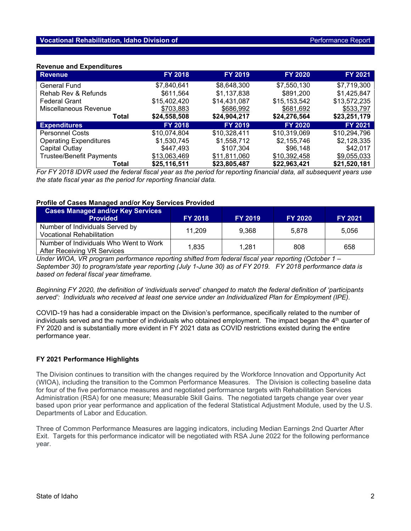## **Revenue and Expenditures**

| <b>Revenue</b>                  | <b>FY 2018</b> | <b>FY 2019</b> | <b>FY 2020</b> | <b>FY 2021</b> |
|---------------------------------|----------------|----------------|----------------|----------------|
| General Fund                    | \$7,840,641    | \$8,648,300    | \$7,550,130    | \$7,719,300    |
| Rehab Rev & Refunds             | \$611,564      | \$1,137,838    | \$891,200      | \$1,425,847    |
| <b>Federal Grant</b>            | \$15,402,420   | \$14,431,087   | \$15,153,542   | \$13,572,235   |
| Miscellaneous Revenue           | \$703,883      | \$686,992      | \$681,692      | \$533,797      |
| Total                           | \$24,558,508   | \$24,904,217   | \$24,276,564   | \$23,251,179   |
| <b>Expenditures</b>             | <b>FY 2018</b> | <b>FY 2019</b> | <b>FY 2020</b> | FY 2021        |
| <b>Personnel Costs</b>          | \$10,074,804   | \$10,328,411   | \$10,319,069   | \$10,294,796   |
| <b>Operating Expenditures</b>   | \$1,530,745    | \$1,558,712    | \$2,155,746    | \$2,128,335    |
| Capital Outlay                  | \$447,493      | \$107,304      | \$96,148       | \$42.017       |
| <b>Trustee/Benefit Payments</b> | \$13,063,469   | \$11,811,060   | \$10,392,458   | \$9,055,033    |
| Total                           | \$25,116,511   | \$23,805,487   | \$22,963,421   | \$21,520,181   |

*For FY 2018 IDVR used the federal fiscal year as the period for reporting financial data, all subsequent years use the state fiscal year as the period for reporting financial data.*

## **Profile of Cases Managed and/or Key Services Provided**

| <b>Cases Managed and/or Key Services</b><br><b>Provided</b>           | <b>FY 2018</b> | <b>FY 2019</b> | <b>FY 2020</b> | <b>FY 2021</b> |
|-----------------------------------------------------------------------|----------------|----------------|----------------|----------------|
| Number of Individuals Served by<br><b>Vocational Rehabilitation</b>   | 11.209         | 9.368          | 5.878          | 5.056          |
| Number of Individuals Who Went to Work<br>After Receiving VR Services | 1.835          | 1.281          | 808            | 658            |

*Under WIOA, VR program performance reporting shifted from federal fiscal year reporting (October 1 – September 30) to program/state year reporting (July 1-June 30) as of FY 2019. FY 2018 performance data is based on federal fiscal year timeframe.*

*Beginning FY 2020, the definition of 'individuals served' changed to match the federal definition of 'participants served': Individuals who received at least one service under an Individualized Plan for Employment (IPE).* 

COVID-19 has had a considerable impact on the Division's performance, specifically related to the number of individuals served and the number of individuals who obtained employment. The impact began the 4<sup>th</sup> quarter of FY 2020 and is substantially more evident in FY 2021 data as COVID restrictions existed during the entire performance year.

## **FY 2021 Performance Highlights**

The Division continues to transition with the changes required by the Workforce Innovation and Opportunity Act (WIOA), including the transition to the Common Performance Measures. The Division is collecting baseline data for four of the five performance measures and negotiated performance targets with Rehabilitation Services Administration (RSA) for one measure; Measurable Skill Gains. The negotiated targets change year over year based upon prior year performance and application of the federal Statistical Adjustment Module, used by the U.S. Departments of Labor and Education.

Three of Common Performance Measures are lagging indicators, including Median Earnings 2nd Quarter After Exit. Targets for this performance indicator will be negotiated with RSA June 2022 for the following performance year.